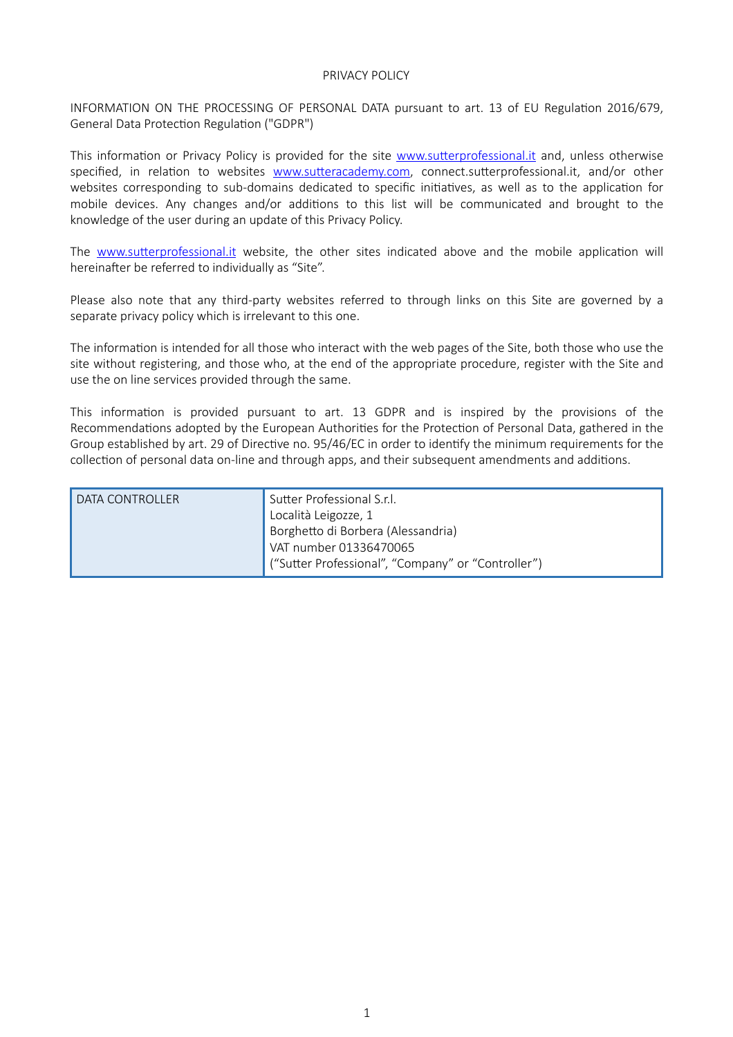## PRIVACY POLICY

INFORMATION ON THE PROCESSING OF PERSONAL DATA pursuant to art. 13 of EU Regulation 2016/679, General Data Protection Regulation ("GDPR")

This information or Privacy Policy is provided for the site www.sutterprofessional.it and, unless otherwise specified, in relation to websites www.sutteracademy.com, connect.sutterprofessional.it, and/or other websites corresponding to sub-domains dedicated to specific initiatives, as well as to the application for mobile devices. Any changes and/or additions to this list will be communicated and brought to the knowledge of the user during an update of this Privacy Policy.

The www.sutterprofessional.it website, the other sites indicated above and the mobile application will hereinafter be referred to individually as "Site".

Please also note that any third-party websites referred to through links on this Site are governed by a separate privacy policy which is irrelevant to this one.

The information is intended for all those who interact with the web pages of the Site, both those who use the site without registering, and those who, at the end of the appropriate procedure, register with the Site and use the on line services provided through the same.

This information is provided pursuant to art. 13 GDPR and is inspired by the provisions of the Recommendations adopted by the European Authorities for the Protection of Personal Data, gathered in the Group established by art. 29 of Directive no. 95/46/EC in order to identify the minimum requirements for the collection of personal data on-line and through apps, and their subsequent amendments and additions.

| DATA CONTROLLER | Sutter Professional S.r.l.                         |
|-----------------|----------------------------------------------------|
|                 | Località Leigozze, 1                               |
|                 | Borghetto di Borbera (Alessandria)                 |
|                 | VAT number 01336470065                             |
|                 | ("Sutter Professional", "Company" or "Controller") |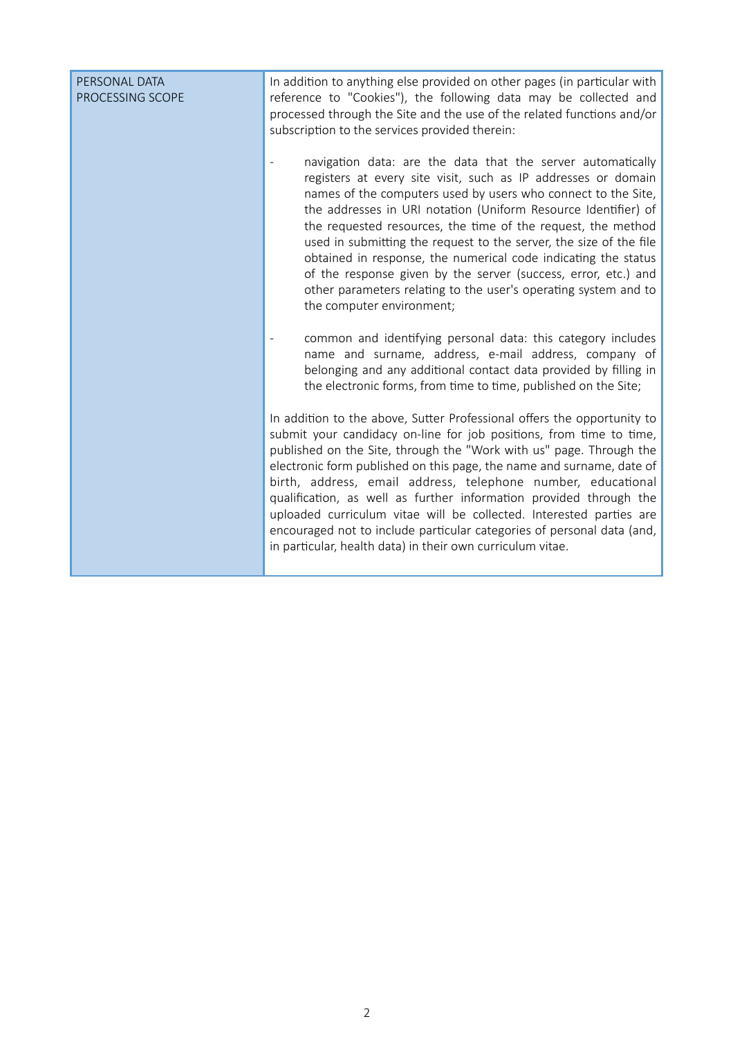| PERSONAL DATA<br>PROCESSING SCOPE | In addition to anything else provided on other pages (in particular with<br>reference to "Cookies"), the following data may be collected and<br>processed through the Site and the use of the related functions and/or<br>subscription to the services provided therein:<br>navigation data: are the data that the server automatically<br>registers at every site visit, such as IP addresses or domain<br>names of the computers used by users who connect to the Site,<br>the addresses in URI notation (Uniform Resource Identifier) of<br>the requested resources, the time of the request, the method<br>used in submitting the request to the server, the size of the file<br>obtained in response, the numerical code indicating the status<br>of the response given by the server (success, error, etc.) and<br>other parameters relating to the user's operating system and to<br>the computer environment; |
|-----------------------------------|-----------------------------------------------------------------------------------------------------------------------------------------------------------------------------------------------------------------------------------------------------------------------------------------------------------------------------------------------------------------------------------------------------------------------------------------------------------------------------------------------------------------------------------------------------------------------------------------------------------------------------------------------------------------------------------------------------------------------------------------------------------------------------------------------------------------------------------------------------------------------------------------------------------------------|
|                                   | common and identifying personal data: this category includes<br>name and surname, address, e-mail address, company of<br>belonging and any additional contact data provided by filling in<br>the electronic forms, from time to time, published on the Site;<br>In addition to the above, Sutter Professional offers the opportunity to<br>submit your candidacy on-line for job positions, from time to time,                                                                                                                                                                                                                                                                                                                                                                                                                                                                                                        |
|                                   | published on the Site, through the "Work with us" page. Through the<br>electronic form published on this page, the name and surname, date of<br>birth, address, email address, telephone number, educational<br>qualification, as well as further information provided through the<br>uploaded curriculum vitae will be collected. Interested parties are<br>encouraged not to include particular categories of personal data (and,<br>in particular, health data) in their own curriculum vitae.                                                                                                                                                                                                                                                                                                                                                                                                                     |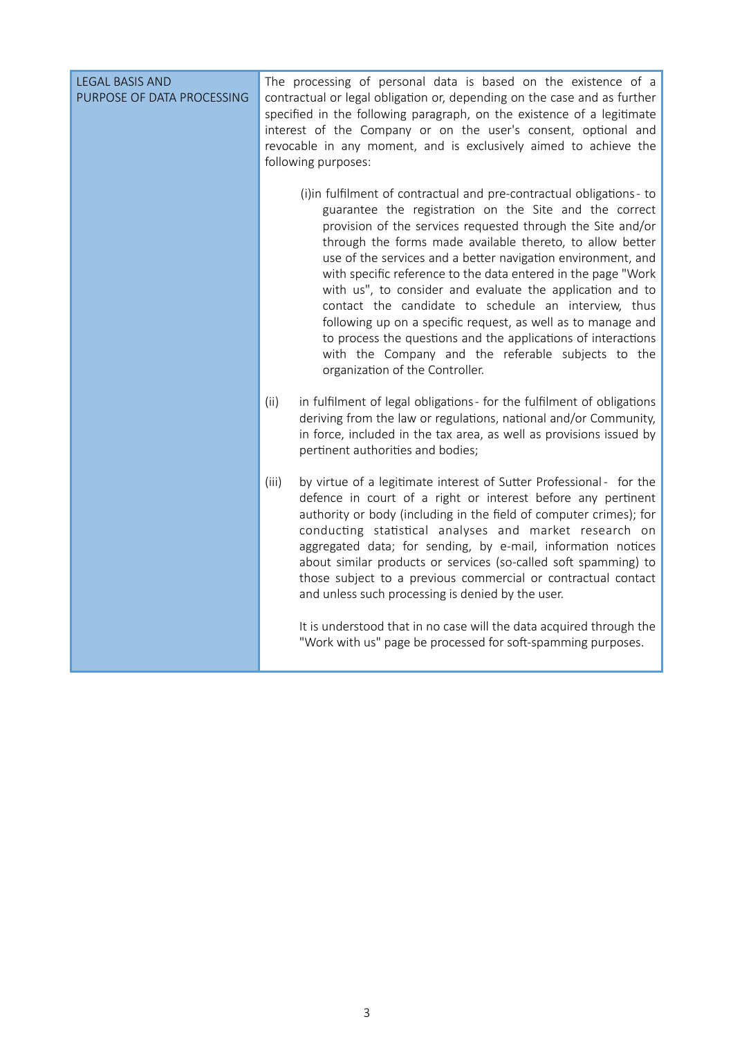| <b>LEGAL BASIS AND</b><br>PURPOSE OF DATA PROCESSING | The processing of personal data is based on the existence of a<br>contractual or legal obligation or, depending on the case and as further<br>specified in the following paragraph, on the existence of a legitimate<br>interest of the Company or on the user's consent, optional and<br>revocable in any moment, and is exclusively aimed to achieve the<br>following purposes:                                                                                                                                                                                                                                                                                                                                                         |
|------------------------------------------------------|-------------------------------------------------------------------------------------------------------------------------------------------------------------------------------------------------------------------------------------------------------------------------------------------------------------------------------------------------------------------------------------------------------------------------------------------------------------------------------------------------------------------------------------------------------------------------------------------------------------------------------------------------------------------------------------------------------------------------------------------|
|                                                      | (i)in fulfilment of contractual and pre-contractual obligations- to<br>guarantee the registration on the Site and the correct<br>provision of the services requested through the Site and/or<br>through the forms made available thereto, to allow better<br>use of the services and a better navigation environment, and<br>with specific reference to the data entered in the page "Work<br>with us", to consider and evaluate the application and to<br>contact the candidate to schedule an interview, thus<br>following up on a specific request, as well as to manage and<br>to process the questions and the applications of interactions<br>with the Company and the referable subjects to the<br>organization of the Controller. |
|                                                      | (ii)<br>in fulfilment of legal obligations - for the fulfilment of obligations<br>deriving from the law or regulations, national and/or Community,<br>in force, included in the tax area, as well as provisions issued by<br>pertinent authorities and bodies;                                                                                                                                                                                                                                                                                                                                                                                                                                                                            |
|                                                      | (iii)<br>by virtue of a legitimate interest of Sutter Professional - for the<br>defence in court of a right or interest before any pertinent<br>authority or body (including in the field of computer crimes); for<br>conducting statistical analyses and market research on<br>aggregated data; for sending, by e-mail, information notices<br>about similar products or services (so-called soft spamming) to<br>those subject to a previous commercial or contractual contact<br>and unless such processing is denied by the user.                                                                                                                                                                                                     |
|                                                      | It is understood that in no case will the data acquired through the<br>"Work with us" page be processed for soft-spamming purposes.                                                                                                                                                                                                                                                                                                                                                                                                                                                                                                                                                                                                       |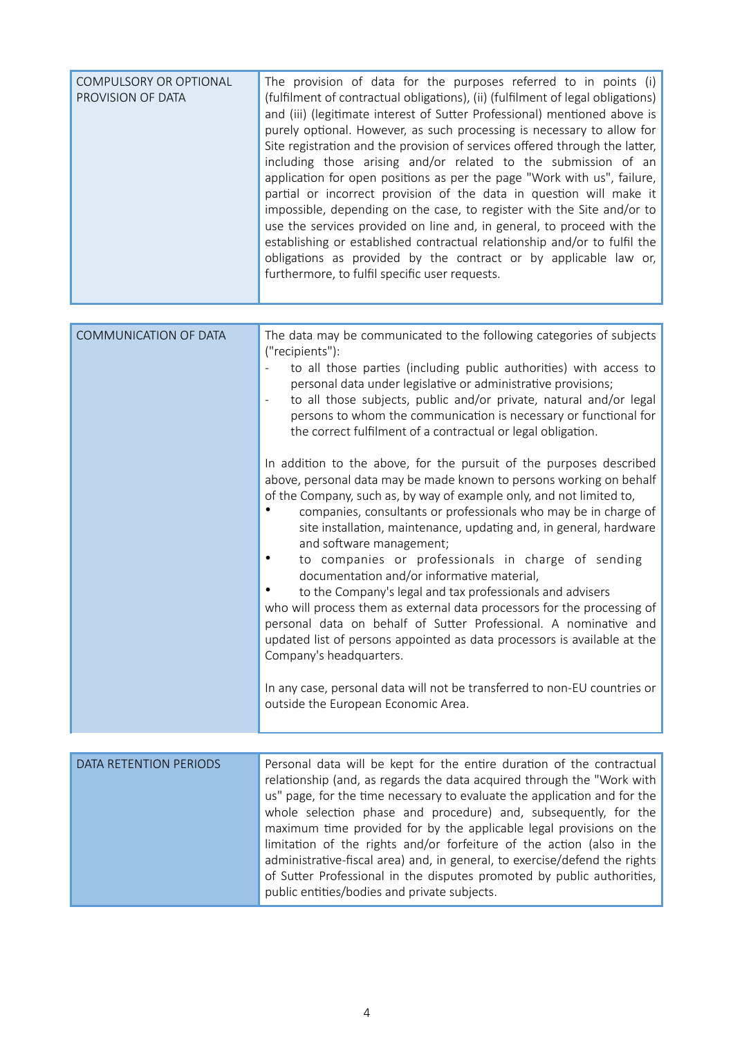| COMPULSORY OR OPTIONAL<br>PROVISION OF DATA | The provision of data for the purposes referred to in points (i)<br>(fulfilment of contractual obligations), (ii) (fulfilment of legal obligations)<br>and (iii) (legitimate interest of Sutter Professional) mentioned above is<br>purely optional. However, as such processing is necessary to allow for<br>Site registration and the provision of services offered through the latter,<br>including those arising and/or related to the submission of an<br>application for open positions as per the page "Work with us", failure,<br>partial or incorrect provision of the data in question will make it<br>impossible, depending on the case, to register with the Site and/or to<br>use the services provided on line and, in general, to proceed with the<br>establishing or established contractual relationship and/or to fulfil the<br>obligations as provided by the contract or by applicable law or,<br>furthermore, to fulfil specific user requests.                                                                                                                                                                                                                                                                                                                                                                                                                                       |
|---------------------------------------------|------------------------------------------------------------------------------------------------------------------------------------------------------------------------------------------------------------------------------------------------------------------------------------------------------------------------------------------------------------------------------------------------------------------------------------------------------------------------------------------------------------------------------------------------------------------------------------------------------------------------------------------------------------------------------------------------------------------------------------------------------------------------------------------------------------------------------------------------------------------------------------------------------------------------------------------------------------------------------------------------------------------------------------------------------------------------------------------------------------------------------------------------------------------------------------------------------------------------------------------------------------------------------------------------------------------------------------------------------------------------------------------------------------|
|                                             |                                                                                                                                                                                                                                                                                                                                                                                                                                                                                                                                                                                                                                                                                                                                                                                                                                                                                                                                                                                                                                                                                                                                                                                                                                                                                                                                                                                                            |
| COMMUNICATION OF DATA                       | The data may be communicated to the following categories of subjects<br>("recipients"):<br>to all those parties (including public authorities) with access to<br>personal data under legislative or administrative provisions;<br>to all those subjects, public and/or private, natural and/or legal<br>$\overline{\phantom{a}}$<br>persons to whom the communication is necessary or functional for<br>the correct fulfilment of a contractual or legal obligation.<br>In addition to the above, for the pursuit of the purposes described<br>above, personal data may be made known to persons working on behalf<br>of the Company, such as, by way of example only, and not limited to,<br>companies, consultants or professionals who may be in charge of<br>site installation, maintenance, updating and, in general, hardware<br>and software management;<br>to companies or professionals in charge of sending<br>documentation and/or informative material,<br>to the Company's legal and tax professionals and advisers<br>who will process them as external data processors for the processing of<br>personal data on behalf of Sutter Professional. A nominative and<br>updated list of persons appointed as data processors is available at the<br>Company's headquarters.<br>In any case, personal data will not be transferred to non-EU countries or<br>outside the European Economic Area. |
| DATA RETENTION PERIODS                      | Personal data will be kept for the entire duration of the contractual                                                                                                                                                                                                                                                                                                                                                                                                                                                                                                                                                                                                                                                                                                                                                                                                                                                                                                                                                                                                                                                                                                                                                                                                                                                                                                                                      |
|                                             | relationship (and, as regards the data acquired through the "Work with<br>us" page, for the time necessary to evaluate the application and for the<br>whole selection phase and procedure) and, subsequently, for the<br>maximum time provided for by the applicable legal provisions on the                                                                                                                                                                                                                                                                                                                                                                                                                                                                                                                                                                                                                                                                                                                                                                                                                                                                                                                                                                                                                                                                                                               |

limitation of the rights and/or forfeiture of the action (also in the administrative-fiscal area) and, in general, to exercise/defend the rights of Sutter Professional in the disputes promoted by public authorities, public entities/bodies and private subjects.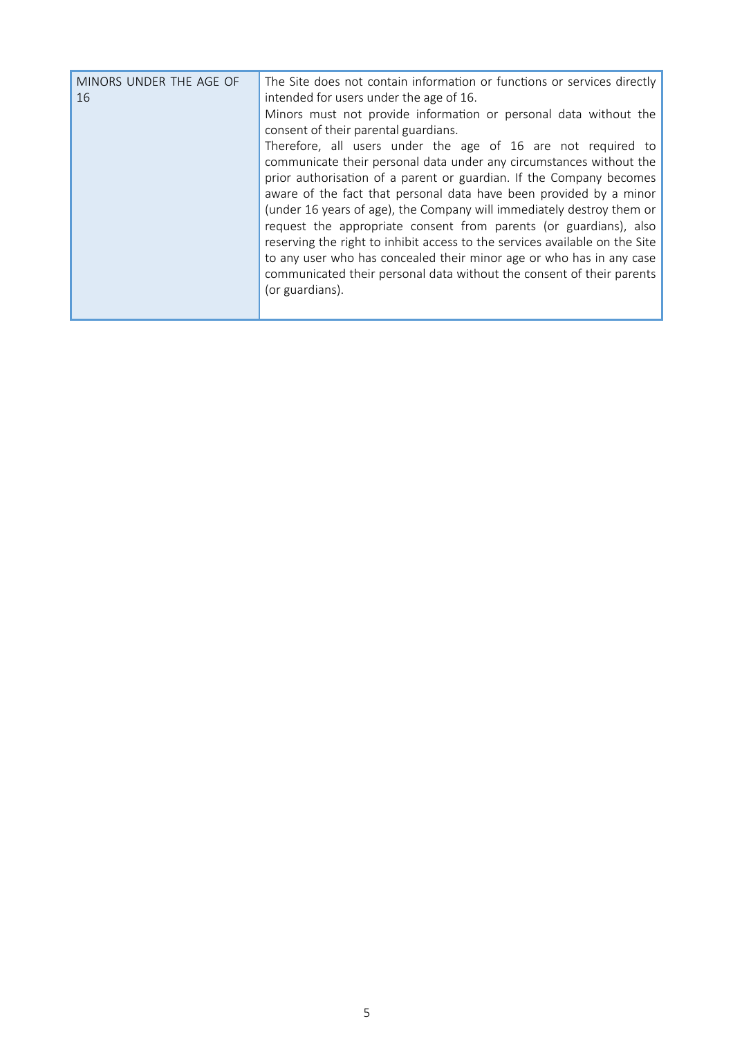| MINORS UNDER THE AGE OF<br>16 | The Site does not contain information or functions or services directly<br>intended for users under the age of 16.<br>Minors must not provide information or personal data without the<br>consent of their parental guardians.<br>Therefore, all users under the age of 16 are not required to<br>communicate their personal data under any circumstances without the<br>prior authorisation of a parent or guardian. If the Company becomes<br>aware of the fact that personal data have been provided by a minor<br>(under 16 years of age), the Company will immediately destroy them or<br>request the appropriate consent from parents (or guardians), also<br>reserving the right to inhibit access to the services available on the Site<br>to any user who has concealed their minor age or who has in any case<br>communicated their personal data without the consent of their parents<br>(or guardians). |
|-------------------------------|---------------------------------------------------------------------------------------------------------------------------------------------------------------------------------------------------------------------------------------------------------------------------------------------------------------------------------------------------------------------------------------------------------------------------------------------------------------------------------------------------------------------------------------------------------------------------------------------------------------------------------------------------------------------------------------------------------------------------------------------------------------------------------------------------------------------------------------------------------------------------------------------------------------------|
|                               |                                                                                                                                                                                                                                                                                                                                                                                                                                                                                                                                                                                                                                                                                                                                                                                                                                                                                                                     |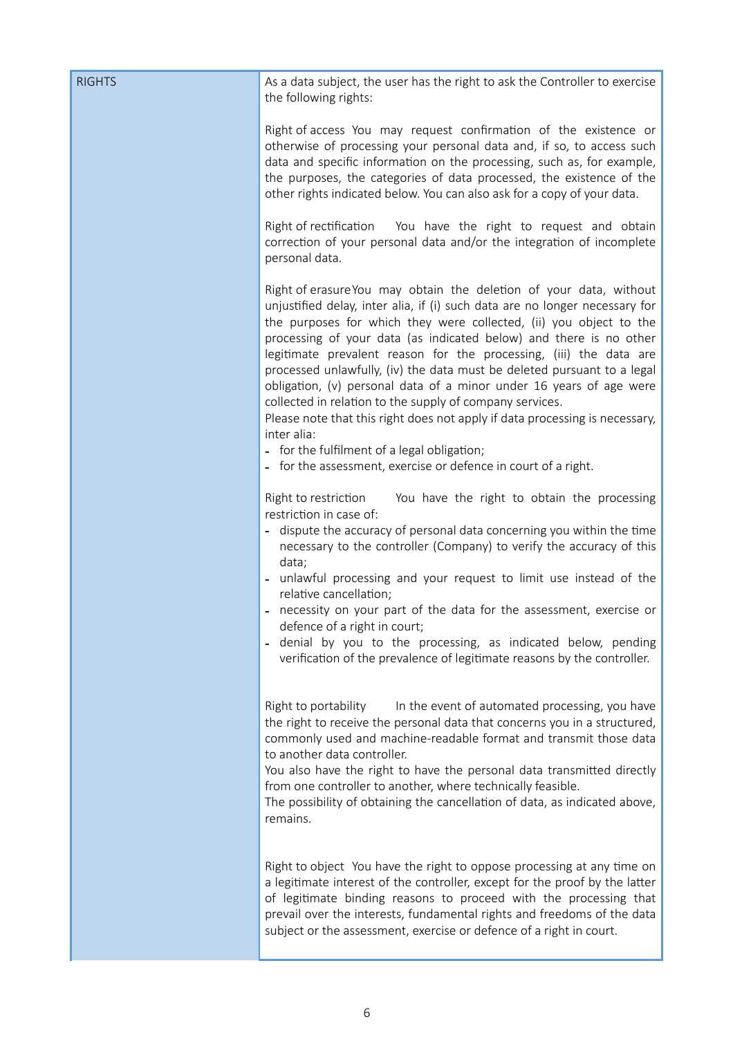| <b>RIGHTS</b> | As a data subject, the user has the right to ask the Controller to exercise<br>the following rights:                                                                                                                                                                                                                                                                                                                                                                                                                                                                                                                                                                                                                                                                                             |
|---------------|--------------------------------------------------------------------------------------------------------------------------------------------------------------------------------------------------------------------------------------------------------------------------------------------------------------------------------------------------------------------------------------------------------------------------------------------------------------------------------------------------------------------------------------------------------------------------------------------------------------------------------------------------------------------------------------------------------------------------------------------------------------------------------------------------|
|               | Right of access You may request confirmation of the existence or<br>otherwise of processing your personal data and, if so, to access such<br>data and specific information on the processing, such as, for example,<br>the purposes, the categories of data processed, the existence of the<br>other rights indicated below. You can also ask for a copy of your data.                                                                                                                                                                                                                                                                                                                                                                                                                           |
|               | Right of rectification<br>You have the right to request and obtain<br>correction of your personal data and/or the integration of incomplete<br>personal data.                                                                                                                                                                                                                                                                                                                                                                                                                                                                                                                                                                                                                                    |
|               | Right of erasure You may obtain the deletion of your data, without<br>unjustified delay, inter alia, if (i) such data are no longer necessary for<br>the purposes for which they were collected, (ii) you object to the<br>processing of your data (as indicated below) and there is no other<br>legitimate prevalent reason for the processing, (iii) the data are<br>processed unlawfully, (iv) the data must be deleted pursuant to a legal<br>obligation, (v) personal data of a minor under 16 years of age were<br>collected in relation to the supply of company services.<br>Please note that this right does not apply if data processing is necessary,<br>inter alia:<br>- for the fulfilment of a legal obligation;<br>- for the assessment, exercise or defence in court of a right. |
|               | Right to restriction<br>You have the right to obtain the processing<br>restriction in case of:<br>dispute the accuracy of personal data concerning you within the time<br>necessary to the controller (Company) to verify the accuracy of this<br>data;<br>unlawful processing and your request to limit use instead of the<br>relative cancellation;<br>necessity on your part of the data for the assessment, exercise or<br>defence of a right in court;<br>denial by you to the processing, as indicated below, pending<br>verification of the prevalence of legitimate reasons by the controller.                                                                                                                                                                                           |
|               | In the event of automated processing, you have<br>Right to portability<br>the right to receive the personal data that concerns you in a structured,<br>commonly used and machine-readable format and transmit those data<br>to another data controller.<br>You also have the right to have the personal data transmitted directly<br>from one controller to another, where technically feasible.<br>The possibility of obtaining the cancellation of data, as indicated above,<br>remains.                                                                                                                                                                                                                                                                                                       |
|               | Right to object You have the right to oppose processing at any time on<br>a legitimate interest of the controller, except for the proof by the latter<br>of legitimate binding reasons to proceed with the processing that<br>prevail over the interests, fundamental rights and freedoms of the data<br>subject or the assessment, exercise or defence of a right in court.                                                                                                                                                                                                                                                                                                                                                                                                                     |